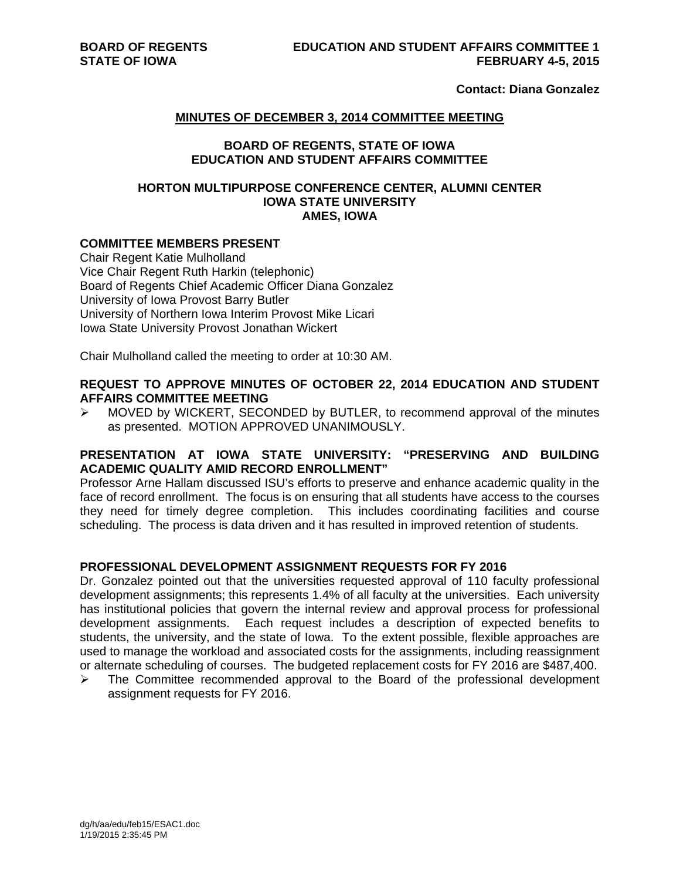**Contact: Diana Gonzalez** 

## **MINUTES OF DECEMBER 3, 2014 COMMITTEE MEETING**

### **BOARD OF REGENTS, STATE OF IOWA EDUCATION AND STUDENT AFFAIRS COMMITTEE**

### **HORTON MULTIPURPOSE CONFERENCE CENTER, ALUMNI CENTER IOWA STATE UNIVERSITY AMES, IOWA**

### **COMMITTEE MEMBERS PRESENT**

Chair Regent Katie Mulholland Vice Chair Regent Ruth Harkin (telephonic) Board of Regents Chief Academic Officer Diana Gonzalez University of Iowa Provost Barry Butler University of Northern Iowa Interim Provost Mike Licari Iowa State University Provost Jonathan Wickert

Chair Mulholland called the meeting to order at 10:30 AM.

### **REQUEST TO APPROVE MINUTES OF OCTOBER 22, 2014 EDUCATION AND STUDENT AFFAIRS COMMITTEE MEETING**

 MOVED by WICKERT, SECONDED by BUTLER, to recommend approval of the minutes as presented. MOTION APPROVED UNANIMOUSLY.

# **PRESENTATION AT IOWA STATE UNIVERSITY: "PRESERVING AND BUILDING ACADEMIC QUALITY AMID RECORD ENROLLMENT"**

Professor Arne Hallam discussed ISU's efforts to preserve and enhance academic quality in the face of record enrollment. The focus is on ensuring that all students have access to the courses they need for timely degree completion. This includes coordinating facilities and course scheduling. The process is data driven and it has resulted in improved retention of students.

### **PROFESSIONAL DEVELOPMENT ASSIGNMENT REQUESTS FOR FY 2016**

Dr. Gonzalez pointed out that the universities requested approval of 110 faculty professional development assignments; this represents 1.4% of all faculty at the universities. Each university has institutional policies that govern the internal review and approval process for professional development assignments. Each request includes a description of expected benefits to students, the university, and the state of Iowa. To the extent possible, flexible approaches are used to manage the workload and associated costs for the assignments, including reassignment or alternate scheduling of courses. The budgeted replacement costs for FY 2016 are \$487,400.

 $\triangleright$  The Committee recommended approval to the Board of the professional development assignment requests for FY 2016.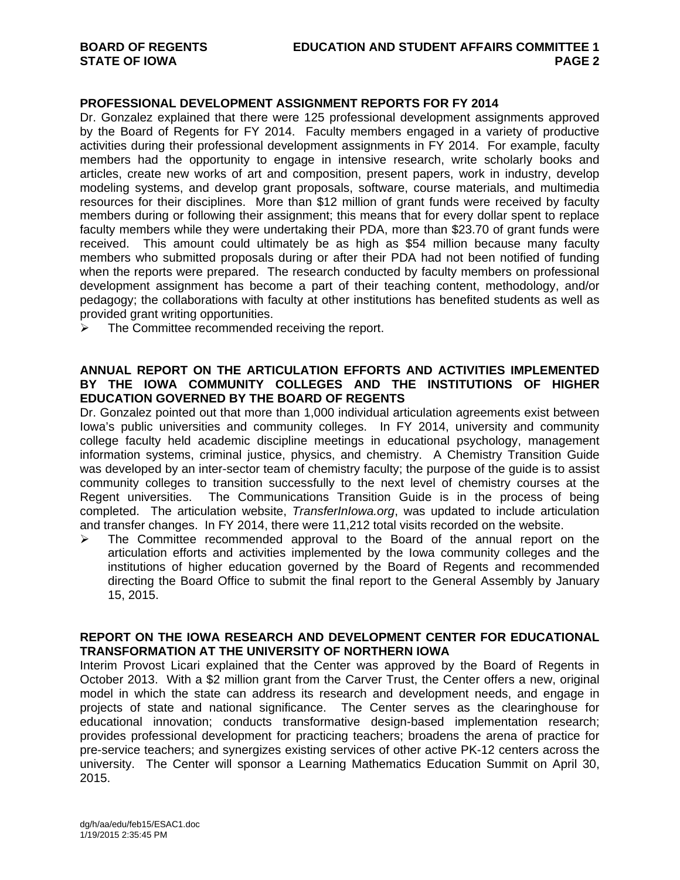## **PROFESSIONAL DEVELOPMENT ASSIGNMENT REPORTS FOR FY 2014**

Dr. Gonzalez explained that there were 125 professional development assignments approved by the Board of Regents for FY 2014. Faculty members engaged in a variety of productive activities during their professional development assignments in FY 2014. For example, faculty members had the opportunity to engage in intensive research, write scholarly books and articles, create new works of art and composition, present papers, work in industry, develop modeling systems, and develop grant proposals, software, course materials, and multimedia resources for their disciplines. More than \$12 million of grant funds were received by faculty members during or following their assignment; this means that for every dollar spent to replace faculty members while they were undertaking their PDA, more than \$23.70 of grant funds were received. This amount could ultimately be as high as \$54 million because many faculty members who submitted proposals during or after their PDA had not been notified of funding when the reports were prepared. The research conducted by faculty members on professional development assignment has become a part of their teaching content, methodology, and/or pedagogy; the collaborations with faculty at other institutions has benefited students as well as provided grant writing opportunities.

The Committee recommended receiving the report.

### **ANNUAL REPORT ON THE ARTICULATION EFFORTS AND ACTIVITIES IMPLEMENTED BY THE IOWA COMMUNITY COLLEGES AND THE INSTITUTIONS OF HIGHER EDUCATION GOVERNED BY THE BOARD OF REGENTS**

Dr. Gonzalez pointed out that more than 1,000 individual articulation agreements exist between Iowa's public universities and community colleges. In FY 2014, university and community college faculty held academic discipline meetings in educational psychology, management information systems, criminal justice, physics, and chemistry. A Chemistry Transition Guide was developed by an inter-sector team of chemistry faculty; the purpose of the guide is to assist community colleges to transition successfully to the next level of chemistry courses at the Regent universities. The Communications Transition Guide is in the process of being completed. The articulation website, *TransferInIowa.org*, was updated to include articulation and transfer changes. In FY 2014, there were 11,212 total visits recorded on the website.

 $\geq$  The Committee recommended approval to the Board of the annual report on the articulation efforts and activities implemented by the Iowa community colleges and the institutions of higher education governed by the Board of Regents and recommended directing the Board Office to submit the final report to the General Assembly by January 15, 2015.

# **REPORT ON THE IOWA RESEARCH AND DEVELOPMENT CENTER FOR EDUCATIONAL TRANSFORMATION AT THE UNIVERSITY OF NORTHERN IOWA**

Interim Provost Licari explained that the Center was approved by the Board of Regents in October 2013. With a \$2 million grant from the Carver Trust, the Center offers a new, original model in which the state can address its research and development needs, and engage in projects of state and national significance. The Center serves as the clearinghouse for educational innovation; conducts transformative design-based implementation research; provides professional development for practicing teachers; broadens the arena of practice for pre-service teachers; and synergizes existing services of other active PK-12 centers across the university. The Center will sponsor a Learning Mathematics Education Summit on April 30, 2015.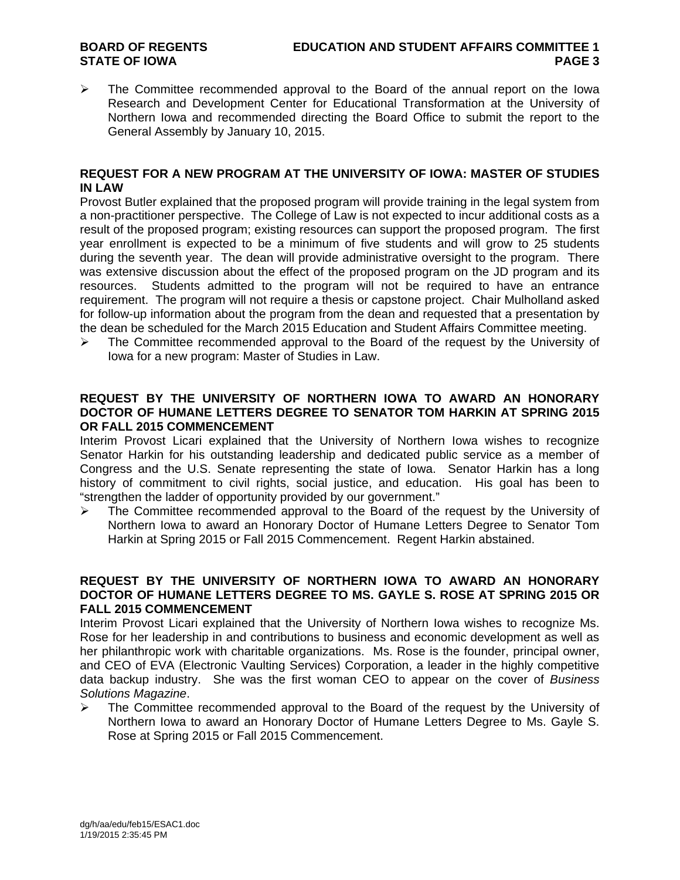$\triangleright$  The Committee recommended approval to the Board of the annual report on the Iowa Research and Development Center for Educational Transformation at the University of Northern Iowa and recommended directing the Board Office to submit the report to the General Assembly by January 10, 2015.

# **REQUEST FOR A NEW PROGRAM AT THE UNIVERSITY OF IOWA: MASTER OF STUDIES IN LAW**

Provost Butler explained that the proposed program will provide training in the legal system from a non-practitioner perspective. The College of Law is not expected to incur additional costs as a result of the proposed program; existing resources can support the proposed program. The first year enrollment is expected to be a minimum of five students and will grow to 25 students during the seventh year. The dean will provide administrative oversight to the program. There was extensive discussion about the effect of the proposed program on the JD program and its resources. Students admitted to the program will not be required to have an entrance requirement. The program will not require a thesis or capstone project. Chair Mulholland asked for follow-up information about the program from the dean and requested that a presentation by the dean be scheduled for the March 2015 Education and Student Affairs Committee meeting.

 $\triangleright$  The Committee recommended approval to the Board of the request by the University of Iowa for a new program: Master of Studies in Law.

# **REQUEST BY THE UNIVERSITY OF NORTHERN IOWA TO AWARD AN HONORARY DOCTOR OF HUMANE LETTERS DEGREE TO SENATOR TOM HARKIN AT SPRING 2015 OR FALL 2015 COMMENCEMENT**

Interim Provost Licari explained that the University of Northern Iowa wishes to recognize Senator Harkin for his outstanding leadership and dedicated public service as a member of Congress and the U.S. Senate representing the state of Iowa. Senator Harkin has a long history of commitment to civil rights, social justice, and education. His goal has been to "strengthen the ladder of opportunity provided by our government."

 $\triangleright$  The Committee recommended approval to the Board of the request by the University of Northern Iowa to award an Honorary Doctor of Humane Letters Degree to Senator Tom Harkin at Spring 2015 or Fall 2015 Commencement. Regent Harkin abstained.

# **REQUEST BY THE UNIVERSITY OF NORTHERN IOWA TO AWARD AN HONORARY DOCTOR OF HUMANE LETTERS DEGREE TO MS. GAYLE S. ROSE AT SPRING 2015 OR FALL 2015 COMMENCEMENT**

Interim Provost Licari explained that the University of Northern Iowa wishes to recognize Ms. Rose for her leadership in and contributions to business and economic development as well as her philanthropic work with charitable organizations. Ms. Rose is the founder, principal owner, and CEO of EVA (Electronic Vaulting Services) Corporation, a leader in the highly competitive data backup industry. She was the first woman CEO to appear on the cover of *Business Solutions Magazine*.

 $\triangleright$  The Committee recommended approval to the Board of the request by the University of Northern Iowa to award an Honorary Doctor of Humane Letters Degree to Ms. Gayle S. Rose at Spring 2015 or Fall 2015 Commencement.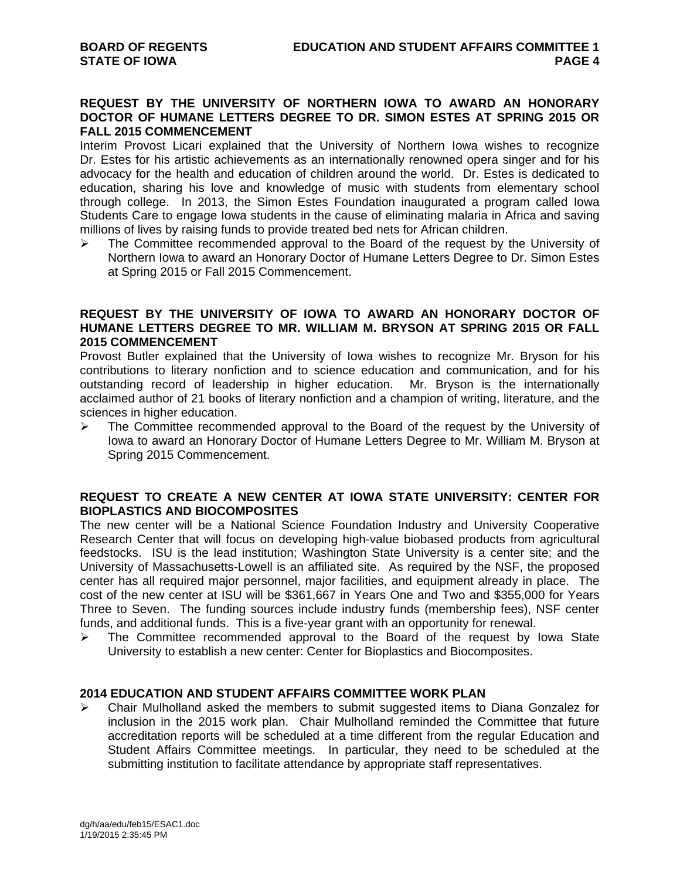# **REQUEST BY THE UNIVERSITY OF NORTHERN IOWA TO AWARD AN HONORARY DOCTOR OF HUMANE LETTERS DEGREE TO DR. SIMON ESTES AT SPRING 2015 OR FALL 2015 COMMENCEMENT**

Interim Provost Licari explained that the University of Northern Iowa wishes to recognize Dr. Estes for his artistic achievements as an internationally renowned opera singer and for his advocacy for the health and education of children around the world. Dr. Estes is dedicated to education, sharing his love and knowledge of music with students from elementary school through college. In 2013, the Simon Estes Foundation inaugurated a program called Iowa Students Care to engage Iowa students in the cause of eliminating malaria in Africa and saving millions of lives by raising funds to provide treated bed nets for African children.

 $\triangleright$  The Committee recommended approval to the Board of the request by the University of Northern Iowa to award an Honorary Doctor of Humane Letters Degree to Dr. Simon Estes at Spring 2015 or Fall 2015 Commencement.

# **REQUEST BY THE UNIVERSITY OF IOWA TO AWARD AN HONORARY DOCTOR OF HUMANE LETTERS DEGREE TO MR. WILLIAM M. BRYSON AT SPRING 2015 OR FALL 2015 COMMENCEMENT**

Provost Butler explained that the University of Iowa wishes to recognize Mr. Bryson for his contributions to literary nonfiction and to science education and communication, and for his outstanding record of leadership in higher education. Mr. Bryson is the internationally acclaimed author of 21 books of literary nonfiction and a champion of writing, literature, and the sciences in higher education.

 $\triangleright$  The Committee recommended approval to the Board of the request by the University of Iowa to award an Honorary Doctor of Humane Letters Degree to Mr. William M. Bryson at Spring 2015 Commencement.

## **REQUEST TO CREATE A NEW CENTER AT IOWA STATE UNIVERSITY: CENTER FOR BIOPLASTICS AND BIOCOMPOSITES**

The new center will be a National Science Foundation Industry and University Cooperative Research Center that will focus on developing high-value biobased products from agricultural feedstocks. ISU is the lead institution; Washington State University is a center site; and the University of Massachusetts-Lowell is an affiliated site. As required by the NSF, the proposed center has all required major personnel, major facilities, and equipment already in place. The cost of the new center at ISU will be \$361,667 in Years One and Two and \$355,000 for Years Three to Seven. The funding sources include industry funds (membership fees), NSF center funds, and additional funds. This is a five-year grant with an opportunity for renewal.

 $\triangleright$  The Committee recommended approval to the Board of the request by Iowa State University to establish a new center: Center for Bioplastics and Biocomposites.

## **2014 EDUCATION AND STUDENT AFFAIRS COMMITTEE WORK PLAN**

 $\triangleright$  Chair Mulholland asked the members to submit suggested items to Diana Gonzalez for inclusion in the 2015 work plan. Chair Mulholland reminded the Committee that future accreditation reports will be scheduled at a time different from the regular Education and Student Affairs Committee meetings. In particular, they need to be scheduled at the submitting institution to facilitate attendance by appropriate staff representatives.